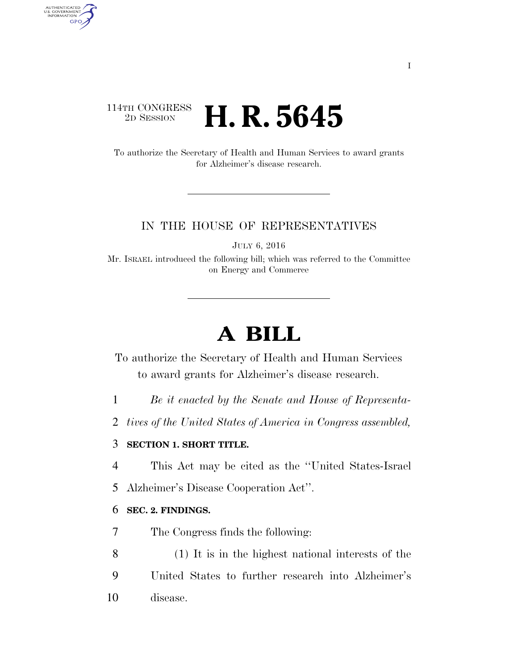## 114TH CONGRESS<br>2D SESSION 2D SESSION **H. R. 5645**

AUTHENTICATED<br>U.S. GOVERNMENT<br>INFORMATION GPO

> To authorize the Secretary of Health and Human Services to award grants for Alzheimer's disease research.

### IN THE HOUSE OF REPRESENTATIVES

JULY 6, 2016

Mr. ISRAEL introduced the following bill; which was referred to the Committee on Energy and Commerce

# **A BILL**

To authorize the Secretary of Health and Human Services to award grants for Alzheimer's disease research.

1 *Be it enacted by the Senate and House of Representa-*

2 *tives of the United States of America in Congress assembled,* 

### 3 **SECTION 1. SHORT TITLE.**

4 This Act may be cited as the ''United States-Israel

5 Alzheimer's Disease Cooperation Act''.

#### 6 **SEC. 2. FINDINGS.**

7 The Congress finds the following:

8 (1) It is in the highest national interests of the 9 United States to further research into Alzheimer's 10 disease.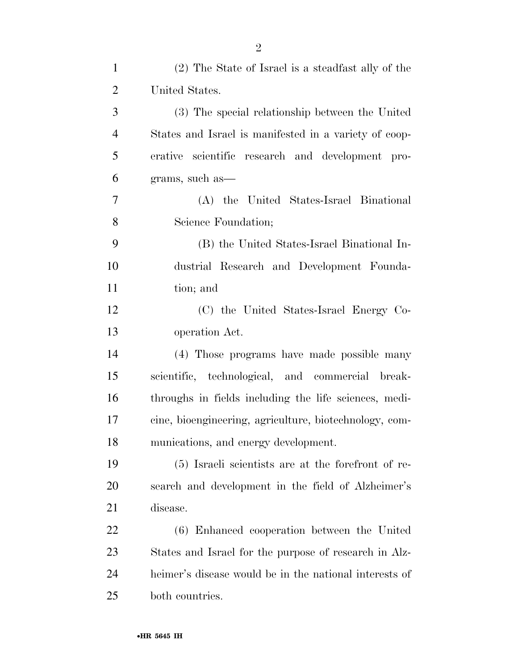| $\mathbf{1}$   | (2) The State of Israel is a steadfast ally of the     |
|----------------|--------------------------------------------------------|
| $\overline{2}$ | United States.                                         |
| 3              | (3) The special relationship between the United        |
| $\overline{4}$ | States and Israel is manifested in a variety of coop-  |
| 5              | erative scientific research and development pro-       |
| 6              | grams, such as—                                        |
| 7              | (A) the United States-Israel Binational                |
| 8              | Science Foundation;                                    |
| 9              | (B) the United States-Israel Binational In-            |
| 10             | dustrial Research and Development Founda-              |
| 11             | tion; and                                              |
| 12             | (C) the United States-Israel Energy Co-                |
| 13             | operation Act.                                         |
| 14             | (4) Those programs have made possible many             |
| 15             | scientific, technological, and commercial break-       |
| 16             | throughs in fields including the life sciences, medi-  |
| 17             | cine, bioengineering, agriculture, biotechnology, com- |
| 18             | munications, and energy development.                   |
| 19             | (5) Israeli scientists are at the forefront of re-     |
| <b>20</b>      | search and development in the field of Alzheimer's     |
| 21             | disease.                                               |
| <u>22</u>      | (6) Enhanced cooperation between the United            |
| 23             | States and Israel for the purpose of research in Alz-  |
| 24             | heimer's disease would be in the national interests of |
| 25             | both countries.                                        |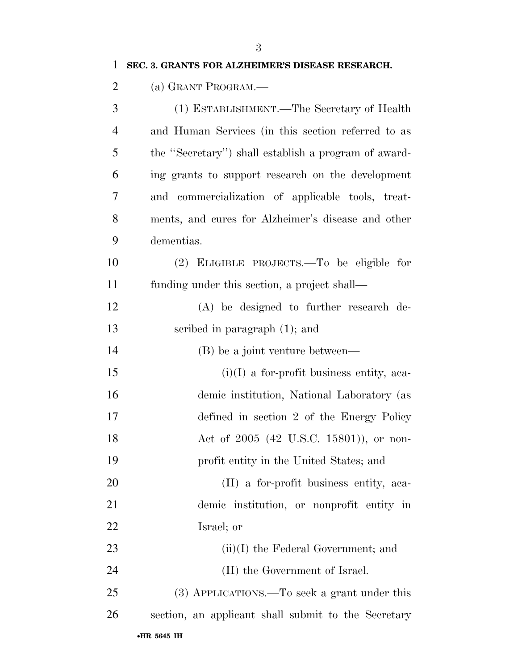| $\mathbf{1}$   | SEC. 3. GRANTS FOR ALZHEIMER'S DISEASE RESEARCH.     |
|----------------|------------------------------------------------------|
| $\overline{2}$ | (a) GRANT PROGRAM.—                                  |
| 3              | (1) ESTABLISHMENT.—The Secretary of Health           |
| $\overline{4}$ | and Human Services (in this section referred to as   |
| 5              | the "Secretary") shall establish a program of award- |
| 6              | ing grants to support research on the development    |
| 7              | and commercialization of applicable tools, treat-    |
| 8              | ments, and cures for Alzheimer's disease and other   |
| 9              | dementias.                                           |
| 10             | (2) ELIGIBLE PROJECTS.—To be eligible for            |
| 11             | funding under this section, a project shall—         |
| 12             | (A) be designed to further research de-              |
| 13             | scribed in paragraph $(1)$ ; and                     |
| 14             | (B) be a joint venture between—                      |
| 15             | $(i)(I)$ a for-profit business entity, aca-          |
| 16             | demic institution, National Laboratory (as           |
| 17             | defined in section 2 of the Energy Policy            |
| 18             | Act of 2005 (42 U.S.C. 15801)), or non-              |
| 19             | profit entity in the United States; and              |
| 20             | (II) a for-profit business entity, aca-              |
| 21             | demic institution, or nonprofit entity in            |
| 22             | Israel; or                                           |
| 23             | $(ii)(I)$ the Federal Government; and                |
| 24             | (II) the Government of Israel.                       |
| 25             | (3) APPLICATIONS.—To seek a grant under this         |
| 26             | section, an applicant shall submit to the Secretary  |
|                |                                                      |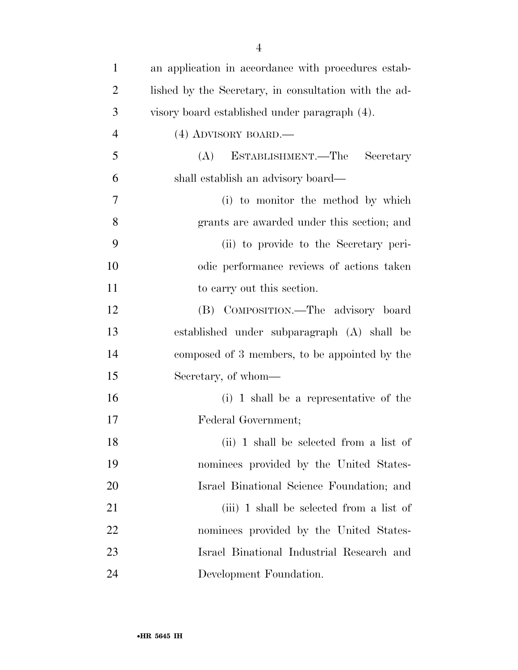| $\mathbf{1}$   | an application in accordance with procedures estab-   |
|----------------|-------------------------------------------------------|
| $\overline{2}$ | lished by the Secretary, in consultation with the ad- |
| 3              | visory board established under paragraph (4).         |
| $\overline{4}$ | $(4)$ ADVISORY BOARD.—                                |
| 5              | ESTABLISHMENT.—The<br>(A)<br>Secretary                |
| 6              | shall establish an advisory board—                    |
| 7              | (i) to monitor the method by which                    |
| 8              | grants are awarded under this section; and            |
| 9              | (ii) to provide to the Secretary peri-                |
| 10             | odic performance reviews of actions taken             |
| 11             | to carry out this section.                            |
| 12             | (B) COMPOSITION.—The advisory board                   |
| 13             | established under subparagraph (A) shall be           |
| 14             | composed of 3 members, to be appointed by the         |
| 15             | Secretary, of whom—                                   |
| 16             | (i) 1 shall be a representative of the                |
| 17             | Federal Government;                                   |
| 18             | (ii) 1 shall be selected from a list of               |
| 19             | nominees provided by the United States-               |
| 20             | Israel Binational Science Foundation; and             |
| 21             | (iii) 1 shall be selected from a list of              |
| 22             | nominees provided by the United States-               |
| 23             | Israel Binational Industrial Research and             |
| 24             | Development Foundation.                               |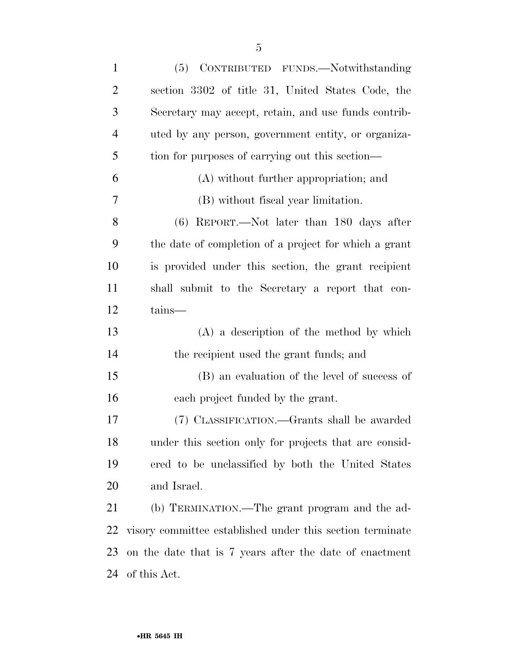| $\mathbf{1}$   | (5) CONTRIBUTED FUNDS.—Notwithstanding                    |
|----------------|-----------------------------------------------------------|
| $\overline{2}$ | section 3302 of title 31, United States Code, the         |
| 3              | Secretary may accept, retain, and use funds contrib-      |
| $\overline{4}$ | uted by any person, government entity, or organiza-       |
| 5              | tion for purposes of carrying out this section—           |
| 6              | (A) without further appropriation; and                    |
| 7              | (B) without fiscal year limitation.                       |
| 8              | $(6)$ REPORT.—Not later than 180 days after               |
| 9              | the date of completion of a project for which a grant     |
| 10             | is provided under this section, the grant recipient       |
| 11             | shall submit to the Secretary a report that con-          |
| 12             | tains—                                                    |
| 13             | $(A)$ a description of the method by which                |
| 14             | the recipient used the grant funds; and                   |
| 15             | (B) an evaluation of the level of success of              |
| 16             | each project funded by the grant.                         |
| 17             | (7) CLASSIFICATION.—Grants shall be awarded               |
| 18             | under this section only for projects that are consid-     |
| 19             | ered to be unclassified by both the United States         |
| 20             | and Israel.                                               |
| 21             | (b) TERMINATION.—The grant program and the ad-            |
| 22             | visory committee established under this section terminate |
| 23             | on the date that is 7 years after the date of enactment   |
| 24             | of this Act.                                              |